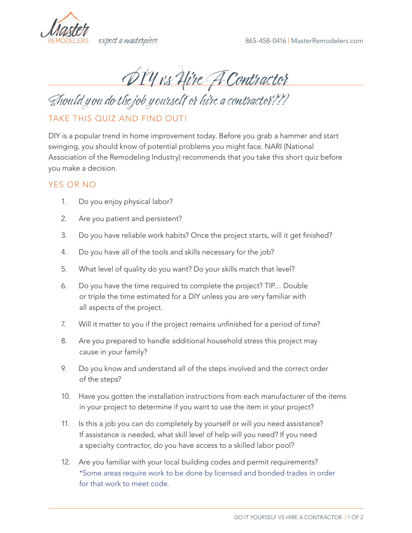

DIY vs Hire A Contractor

Should y ou do the job yourself or hire a contractor???

## TAKE THIS QUIZ AND FIND OUT!

DIY is a popular trend in home improvement today. Before you grab a hammer and start swinging, you should know of potential problems you might face. NARI (National Association of the Remodeling Industry) recommends that you take this short quiz before you make a decision.

## YES OR NO

- 1. Do you enjoy physical labor?
- 2. Are you patient and persistent?
- 3. Do you have reliable work habits? Once the project starts, will it get finished?
- 4. Do you have all of the tools and skills necessary for the job?
- 5. What level of quality do you want? Do your skills match that level?
- 6. Do you have the time required to complete the project? TIP… Double or triple the time estimated for a DIY unless you are very familiar with all aspects of the project.
- 7. Will it matter to you if the project remains unfinished for a period of time?
- 8. Are you prepared to handle additional household stress this project may cause in your family?
- 9. Do you know and understand all of the steps involved and the correct order of the steps?
- 10. Have you gotten the installation instructions from each manufacturer of the items in your project to determine if you want to use the item in your project?
- 11. Is this a job you can do completely by yourself or will you need assistance? If assistance is needed, what skill level of help will you need? If you need a specialty contractor, do you have access to a skilled labor pool?
- 12. Are you familiar with your local building codes and permit requirements? \*Some areas require work to be done by licensed and bonded trades in order for that work to meet code.